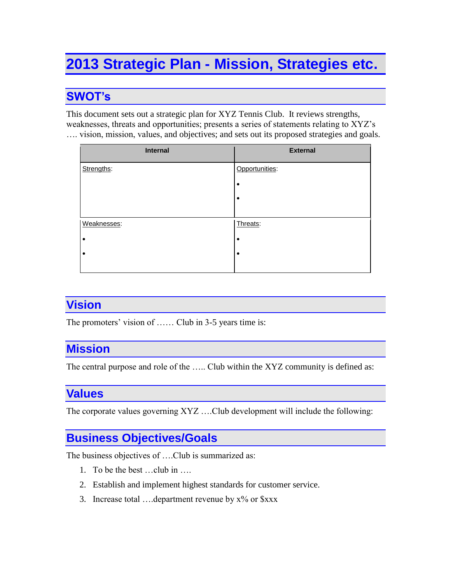# **2013 Strategic Plan - Mission, Strategies etc.**

# **SWOT's**

This document sets out a strategic plan for XYZ Tennis Club. It reviews strengths, weaknesses, threats and opportunities; presents a series of statements relating to XYZ's …. vision, mission, values, and objectives; and sets out its proposed strategies and goals.

| <b>Internal</b> | <b>External</b> |
|-----------------|-----------------|
| Strengths:      | Opportunities:  |
|                 | ٠               |
|                 | ٠               |
|                 |                 |
| Weaknesses:     | Threats:        |
|                 | ٠               |
| ٠               | ٠               |
|                 |                 |

#### **Vision**

The promoters' vision of ...... Club in 3-5 years time is:

#### **Mission**

The central purpose and role of the ….. Club within the XYZ community is defined as:

# **Values**

The corporate values governing XYZ ….Club development will include the following:

#### **Business Objectives/Goals**

The business objectives of ….Club is summarized as:

- 1. To be the best …club in ….
- 2. Establish and implement highest standards for customer service.
- 3. Increase total .... department revenue by  $x\%$  or  $\frac{5}{x}$